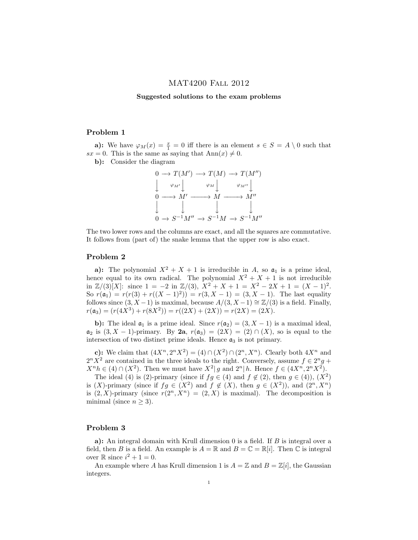# MAT4200 Fall 2012

## Suggested solutions to the exam problems

#### Problem 1

a): We have  $\varphi_M(x) = \frac{x}{1} = 0$  iff there is an element  $s \in S = A \setminus 0$  such that  $sx = 0$ . This is the same as saying that  $Ann(x) \neq 0$ .

b): Consider the diagram

$$
\begin{array}{ccc}\n0 \to T(M') \to T(M) \to T(M'') \\
\downarrow \quad \varphi_{M'} \downarrow \quad \varphi_{M} \downarrow \quad \varphi_{M''} \downarrow \\
0 \longrightarrow M' \longrightarrow M \longrightarrow M'' \\
\downarrow \quad \downarrow \quad \downarrow \quad \downarrow \\
0 \to S^{-1}M'' \to S^{-1}M \to S^{-1}M''\n\end{array}
$$

The two lower rows and the columns are exact, and all the squares are commutative. It follows from (part of) the snake lemma that the upper row is also exact.

## Problem 2

a): The polynomial  $X^2 + X + 1$  is irreducible in A, so  $a_1$  is a prime ideal, hence equal to its own radical. The polynomial  $X^2 + X + 1$  is not irreducible in  $\mathbb{Z}/(3)[X]$ : since  $1 = -2$  in  $\mathbb{Z}/(3)$ ,  $X^2 + X + 1 = X^2 - 2X + 1 = (X - 1)^2$ . So  $r(\mathfrak{a}_1) = r(r(3) + r((X - 1)^2)) = r(3, X - 1) = (3, X - 1)$ . The last equality follows since  $(3, X-1)$  is maximal, because  $A/(3, X-1) \cong \mathbb{Z}/(3)$  is a field. Finally,  $r(\mathfrak{a}_3) = (r(4X^3) + r(8X^2)) = r((2X) + (2X)) = r(2X) = (2X).$ 

b): The ideal  $a_1$  is a prime ideal. Since  $r(a_2) = (3, X - 1)$  is a maximal ideal,  $\mathfrak{a}_2$  is  $(3, X - 1)$ -primary. By  $2a, r(\mathfrak{a}_3) = (2X) = (2) \cap (X)$ , so is equal to the intersection of two distinct prime ideals. Hence  $a_3$  is not primary.

c): We claim that  $(4X^n, 2^nX^2) = (4) \cap (X^2) \cap (2^n, X^n)$ . Clearly both  $4X^n$  and  $2^n X^2$  are contained in the three ideals to the right. Conversely, assume  $f \in 2^n g +$  $X^{n}h \in (4) \cap (X^{2})$ . Then we must have  $X^{2}|g$  and  $2^{n}|h$ . Hence  $f \in (4X^{n}, 2^{n}X^{2})$ .

The ideal (4) is (2)-primary (since if  $fg \in (4)$  and  $f \notin (2)$ , then  $g \in (4)$ ),  $(X^2)$ is  $(X)$ -primary (since if  $fg \in (X^2)$  and  $f \notin (X)$ , then  $g \in (X^2)$ ), and  $(2^n, X^n)$ is  $(2, X)$ -primary (since  $r(2^n, X^n) = (2, X)$  is maximal). The decomposition is minimal (since  $n \geq 3$ ).

## Problem 3

a): An integral domain with Krull dimension  $0$  is a field. If  $B$  is integral over a field, then B is a field. An example is  $A = \mathbb{R}$  and  $B = \mathbb{C} = \mathbb{R}[i]$ . Then  $\mathbb C$  is integral over  $\mathbb R$  since  $i^2 + 1 = 0$ .

An example where A has Krull dimension 1 is  $A = \mathbb{Z}$  and  $B = \mathbb{Z}[i]$ , the Gaussian integers.